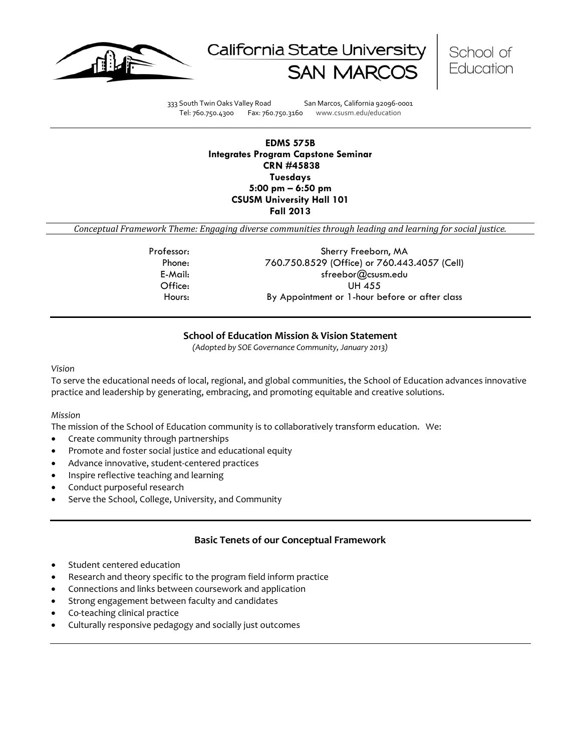





333 South Twin Oaks Valley Road San Marcos, California 92096-0001 Tel: 760.750.4300 Fax: 760.750.3160 www.csusm.edu/education

### **EDMS 575B Integrates Program Capstone Seminar CRN #45838 Tuesdays 5:00 pm – 6:50 pm CSUSM University Hall 101 Fall 2013**

*Conceptual Framework Theme: Engaging diverse communities through leading and learning for social justice.*

| Professor: | Sherry Freeborn, MA                            |  |
|------------|------------------------------------------------|--|
| Phone:     | 760.750.8529 (Office) or 760.443.4057 (Cell)   |  |
| E-Mail:    | sfreebor@csusm.edu                             |  |
| Office:    | UH 455                                         |  |
| Hours:     | By Appointment or 1-hour before or after class |  |

# **School of Education Mission & Vision Statement**

*(Adopted by SOE Governance Community, January 2013)*

*Vision*

To serve the educational needs of local, regional, and global communities, the School of Education advances innovative practice and leadership by generating, embracing, and promoting equitable and creative solutions.

#### *Mission*

The mission of the School of Education community is to collaboratively transform education. We:

- Create community through partnerships
- Promote and foster social justice and educational equity
- Advance innovative, student-centered practices
- Inspire reflective teaching and learning
- Conduct purposeful research
- Serve the School, College, University, and Community

# **Basic Tenets of our Conceptual Framework**

- Student centered education
- Research and theory specific to the program field inform practice
- Connections and links between coursework and application
- Strong engagement between faculty and candidates
- Co-teaching clinical practice
- Culturally responsive pedagogy and socially just outcomes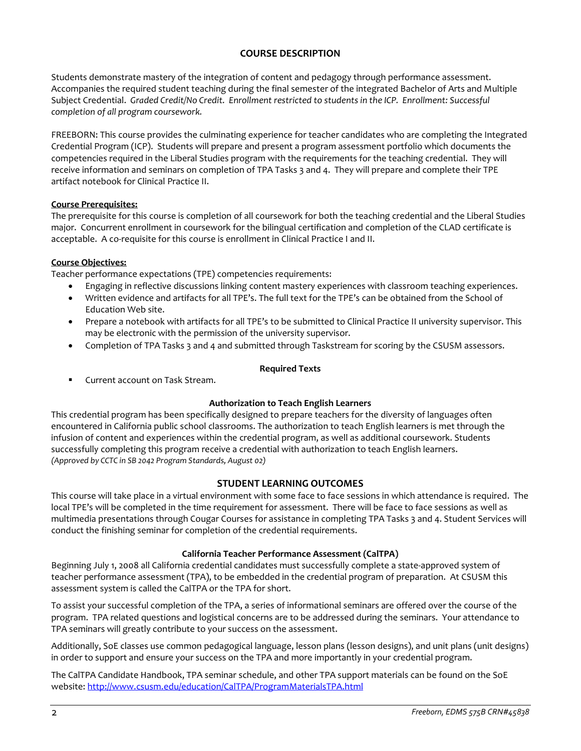# **COURSE DESCRIPTION**

Students demonstrate mastery of the integration of content and pedagogy through performance assessment. Accompanies the required student teaching during the final semester of the integrated Bachelor of Arts and Multiple Subject Credential. *Graded Credit/No Credit. Enrollment restricted to students in the ICP. Enrollment: Successful completion of all program coursework.* 

FREEBORN: This course provides the culminating experience for teacher candidates who are completing the Integrated Credential Program (ICP). Students will prepare and present a program assessment portfolio which documents the competencies required in the Liberal Studies program with the requirements for the teaching credential. They will receive information and seminars on completion of TPA Tasks 3 and 4. They will prepare and complete their TPE artifact notebook for Clinical Practice II.

### **Course Prerequisites:**

The prerequisite for this course is completion of all coursework for both the teaching credential and the Liberal Studies major. Concurrent enrollment in coursework for the bilingual certification and completion of the CLAD certificate is acceptable. A co-requisite for this course is enrollment in Clinical Practice I and II.

### **Course Objectives:**

Teacher performance expectations (TPE) competencies requirements:

- Engaging in reflective discussions linking content mastery experiences with classroom teaching experiences.
- Written evidence and artifacts for all TPE's. The full text for the TPE's can be obtained from the School of Education Web site.
- Prepare a notebook with artifacts for all TPE's to be submitted to Clinical Practice II university supervisor. This may be electronic with the permission of the university supervisor.
- Completion of TPA Tasks 3 and 4 and submitted through Taskstream for scoring by the CSUSM assessors.

### **Required Texts**

Current account on Task Stream.

# **Authorization to Teach English Learners**

This credential program has been specifically designed to prepare teachers for the diversity of languages often encountered in California public school classrooms. The authorization to teach English learners is met through the infusion of content and experiences within the credential program, as well as additional coursework. Students successfully completing this program receive a credential with authorization to teach English learners. *(Approved by CCTC in SB 2042 Program Standards, August 02)*

# **STUDENT LEARNING OUTCOMES**

This course will take place in a virtual environment with some face to face sessions in which attendance is required. The local TPE's will be completed in the time requirement for assessment. There will be face to face sessions as well as multimedia presentations through Cougar Courses for assistance in completing TPA Tasks 3 and 4. Student Services will conduct the finishing seminar for completion of the credential requirements.

#### **California Teacher Performance Assessment (CalTPA)**

Beginning July 1, 2008 all California credential candidates must successfully complete a state-approved system of teacher performance assessment (TPA), to be embedded in the credential program of preparation. At CSUSM this assessment system is called the CalTPA or the TPA for short.

To assist your successful completion of the TPA, a series of informational seminars are offered over the course of the program. TPA related questions and logistical concerns are to be addressed during the seminars. Your attendance to TPA seminars will greatly contribute to your success on the assessment.

Additionally, SoE classes use common pedagogical language, lesson plans (lesson designs), and unit plans (unit designs) in order to support and ensure your success on the TPA and more importantly in your credential program.

The CalTPA Candidate Handbook, TPA seminar schedule, and other TPA support materials can be found on the SoE website:<http://www.csusm.edu/education/CalTPA/ProgramMaterialsTPA.html>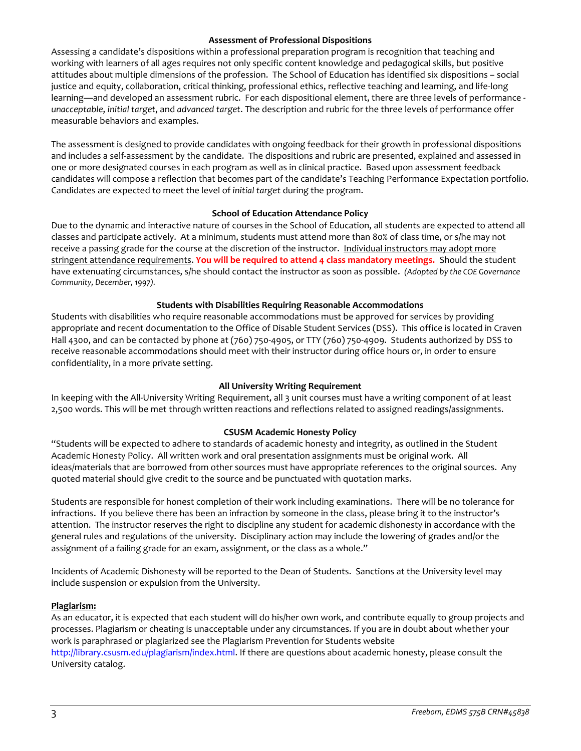#### **Assessment of Professional Dispositions**

Assessing a candidate's dispositions within a professional preparation program is recognition that teaching and working with learners of all ages requires not only specific content knowledge and pedagogical skills, but positive attitudes about multiple dimensions of the profession. The School of Education has identified six dispositions – social justice and equity, collaboration, critical thinking, professional ethics, reflective teaching and learning, and life-long learning—and developed an assessment rubric. For each dispositional element, there are three levels of performance *unacceptable*, *initial target*, and *advanced target*. The description and rubric for the three levels of performance offer measurable behaviors and examples.

The assessment is designed to provide candidates with ongoing feedback for their growth in professional dispositions and includes a self-assessment by the candidate. The dispositions and rubric are presented, explained and assessed in one or more designated courses in each program as well as in clinical practice. Based upon assessment feedback candidates will compose a reflection that becomes part of the candidate's Teaching Performance Expectation portfolio. Candidates are expected to meet the level of *initial target* during the program.

#### **School of Education Attendance Policy**

Due to the dynamic and interactive nature of courses in the School of Education, all students are expected to attend all classes and participate actively. At a minimum, students must attend more than 80% of class time, or s/he may not receive a passing grade for the course at the discretion of the instructor. Individual instructors may adopt more stringent attendance requirements. **You will be required to attend 4 class mandatory meetings.** Should the student have extenuating circumstances, s/he should contact the instructor as soon as possible. *(Adopted by the COE Governance Community, December, 1997).*

#### **Students with Disabilities Requiring Reasonable Accommodations**

Students with disabilities who require reasonable accommodations must be approved for services by providing appropriate and recent documentation to the Office of Disable Student Services (DSS). This office is located in Craven Hall 4300, and can be contacted by phone at (760) 750-4905, or TTY (760) 750-4909. Students authorized by DSS to receive reasonable accommodations should meet with their instructor during office hours or, in order to ensure confidentiality, in a more private setting.

#### **All University Writing Requirement**

In keeping with the All-University Writing Requirement, all 3 unit courses must have a writing component of at least 2,500 words. This will be met through written reactions and reflections related to assigned readings/assignments.

#### **CSUSM Academic Honesty Policy**

"Students will be expected to adhere to standards of academic honesty and integrity, as outlined in the Student Academic Honesty Policy. All written work and oral presentation assignments must be original work. All ideas/materials that are borrowed from other sources must have appropriate references to the original sources. Any quoted material should give credit to the source and be punctuated with quotation marks.

Students are responsible for honest completion of their work including examinations. There will be no tolerance for infractions. If you believe there has been an infraction by someone in the class, please bring it to the instructor's attention. The instructor reserves the right to discipline any student for academic dishonesty in accordance with the general rules and regulations of the university. Disciplinary action may include the lowering of grades and/or the assignment of a failing grade for an exam, assignment, or the class as a whole."

Incidents of Academic Dishonesty will be reported to the Dean of Students. Sanctions at the University level may include suspension or expulsion from the University.

#### **Plagiarism:**

As an educator, it is expected that each student will do his/her own work, and contribute equally to group projects and processes. Plagiarism or cheating is unacceptable under any circumstances. If you are in doubt about whether your work is paraphrased or plagiarized see the Plagiarism Prevention for Students website http://library.csusm.edu/plagiarism/index.html. If there are questions about academic honesty, please consult the University catalog.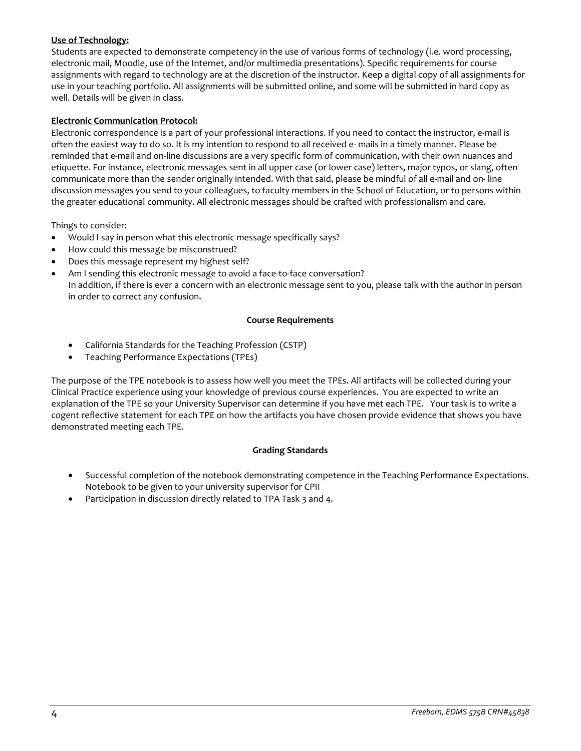### **Use of Technology:**

Students are expected to demonstrate competency in the use of various forms of technology (i.e. word processing, electronic mail, Moodle, use of the Internet, and/or multimedia presentations). Specific requirements for course assignments with regard to technology are at the discretion of the instructor. Keep a digital copy of all assignments for use in your teaching portfolio. All assignments will be submitted online, and some will be submitted in hard copy as well. Details will be given in class.

### **Electronic Communication Protocol:**

Electronic correspondence is a part of your professional interactions. If you need to contact the instructor, e-mail is often the easiest way to do so. It is my intention to respond to all received e- mails in a timely manner. Please be reminded that e-mail and on-line discussions are a very specific form of communication, with their own nuances and etiquette. For instance, electronic messages sent in all upper case (or lower case) letters, major typos, or slang, often communicate more than the sender originally intended. With that said, please be mindful of all e-mail and on- line discussion messages you send to your colleagues, to faculty members in the School of Education, or to persons within the greater educational community. All electronic messages should be crafted with professionalism and care.

Things to consider:

- Would I say in person what this electronic message specifically says?
- How could this message be misconstrued?
- Does this message represent my highest self?
- Am I sending this electronic message to avoid a face-to-face conversation? In addition, if there is ever a concern with an electronic message sent to you, please talk with the author in person in order to correct any confusion.

#### **Course Requirements**

- California Standards for the Teaching Profession (CSTP)
- Teaching Performance Expectations (TPEs)

The purpose of the TPE notebook is to assess how well you meet the TPEs. All artifacts will be collected during your Clinical Practice experience using your knowledge of previous course experiences. You are expected to write an explanation of the TPE so your University Supervisor can determine if you have met each TPE. Your task is to write a cogent reflective statement for each TPE on how the artifacts you have chosen provide evidence that shows you have demonstrated meeting each TPE.

#### **Grading Standards**

- Successful completion of the notebook demonstrating competence in the Teaching Performance Expectations. Notebook to be given to your university supervisor for CPII
- Participation in discussion directly related to TPA Task 3 and 4.